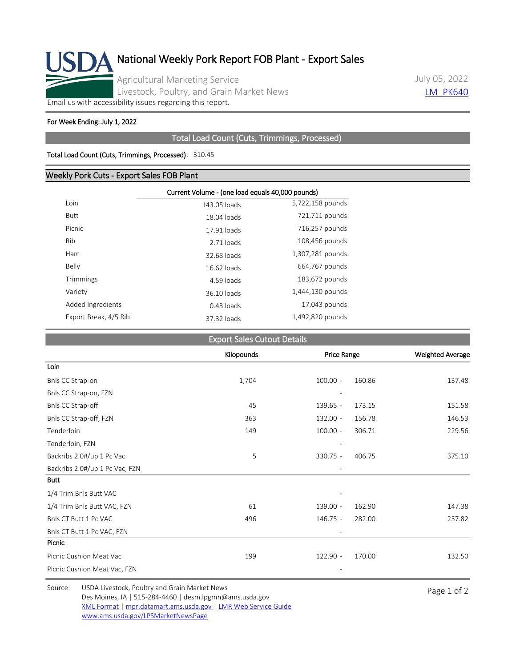

July 05, 2022 **[LM\\_PK640](https://mpr.datamart.ams.usda.gov/ws/report/v1/pork/LM_PK640?filter=%7B%22filters%22:%5B%7B%22fieldName%22:%22Report%20date%22,%22operatorType%22:%22EQUAL%22,%22values%22:%5B%227/5/2022%22%5D%7D%5D%7D)** 

[Email us with accessibility issues regarding this report.](mailto:mpr.lpgmn@ams.usda.gov?subject=508%20Issue)

#### For Week Ending: July 1, 2022

## Total Load Count (Cuts, Trimmings, Processed)

#### Total Load Count (Cuts, Trimmings, Processed): 310.45

### Weekly Pork Cuts - Export Sales FOB Plant

|                       | Current Volume - (one load equals 40,000 pounds) |                  |  |  |  |
|-----------------------|--------------------------------------------------|------------------|--|--|--|
|                       |                                                  |                  |  |  |  |
| Loin                  | 143.05 loads                                     | 5,722,158 pounds |  |  |  |
| Butt                  | 18.04 loads                                      | 721,711 pounds   |  |  |  |
| Picnic                | 17.91 loads                                      | 716,257 pounds   |  |  |  |
| Rib                   | 2.71 loads                                       | 108,456 pounds   |  |  |  |
| Ham                   | 32.68 loads                                      | 1,307,281 pounds |  |  |  |
| Belly                 | 16.62 loads                                      | 664,767 pounds   |  |  |  |
| Trimmings             | 4.59 loads                                       | 183,672 pounds   |  |  |  |
| Variety               | 36.10 loads                                      | 1,444,130 pounds |  |  |  |
| Added Ingredients     | $0.43$ loads                                     | 17,043 pounds    |  |  |  |
| Export Break, 4/5 Rib | 37.32 loads                                      | 1,492,820 pounds |  |  |  |
|                       |                                                  |                  |  |  |  |

## **Export Sales Cutout Details**

|                                | Kilopounds | Price Range |        | <b>Weighted Average</b> |
|--------------------------------|------------|-------------|--------|-------------------------|
| Loin                           |            |             |        |                         |
| Bnls CC Strap-on               | 1,704      | $100.00 -$  | 160.86 | 137.48                  |
| Bnls CC Strap-on, FZN          |            |             |        |                         |
| Bnls CC Strap-off              | 45         | $139.65 -$  | 173.15 | 151.58                  |
| Bnls CC Strap-off, FZN         | 363        | $132.00 -$  | 156.78 | 146.53                  |
| Tenderloin                     | 149        | $100.00 -$  | 306.71 | 229.56                  |
| Tenderloin, FZN                |            |             |        |                         |
| Backribs 2.0#/up 1 Pc Vac      | 5          | 330.75 -    | 406.75 | 375.10                  |
| Backribs 2.0#/up 1 Pc Vac, FZN |            |             |        |                         |
| <b>Butt</b>                    |            |             |        |                         |
| 1/4 Trim Bnls Butt VAC         |            |             |        |                         |
| 1/4 Trim Bnls Butt VAC, FZN    | 61         | 139.00 -    | 162.90 | 147.38                  |
| Bnls CT Butt 1 Pc VAC          | 496        | $146.75 -$  | 282.00 | 237.82                  |
| Bnls CT Butt 1 Pc VAC, FZN     |            |             |        |                         |
| Picnic                         |            |             |        |                         |
| Picnic Cushion Meat Vac        | 199        | $122.90 -$  | 170.00 | 132.50                  |
| Picnic Cushion Meat Vac, FZN   |            |             |        |                         |

Source: USDA Livestock, Poultry and Grain Market News<br>
Page 1 of 2 Des Moines, IA | 515-284-4460 | desm.lpgmn@ams.usda.gov [XML Format](https://mpr.datamart.ams.usda.gov/ws/report/v1/pork/LM_PK640?filter=%7B%22filters%22:%5B%7B%22fieldName%22:%22Report%20date%22,%22operatorType%22:%22EQUAL%22,%22values%22:%5B%227/5/2022%22%5D%7D%5D%7D) | [mpr.datamart.ams.usda.gov](https://mpr.datamart.ams.usda.gov/) | [LMR Web Service Guide](https://www.marketnews.usda.gov/mnp/assets/ls/USDA-LMR-WebService-Client-User-Guide-v1_prod.pdf) [www.ams.usda.gov/LPSMarketNewsPage](https://www.ams.usda.gov/LPSMarketNewsPage)